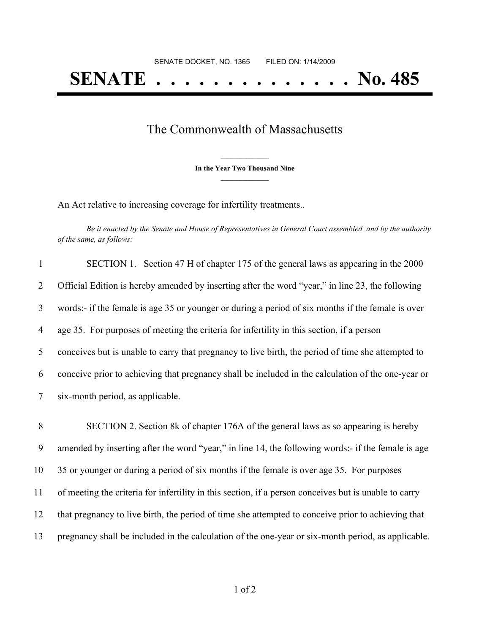## **SENATE . . . . . . . . . . . . . . No. 485**

## The Commonwealth of Massachusetts

**\_\_\_\_\_\_\_\_\_\_\_\_\_\_\_ In the Year Two Thousand Nine \_\_\_\_\_\_\_\_\_\_\_\_\_\_\_**

An Act relative to increasing coverage for infertility treatments..

Be it enacted by the Senate and House of Representatives in General Court assembled, and by the authority *of the same, as follows:*

| $\mathbf{1}$   | SECTION 1. Section 47 H of chapter 175 of the general laws as appearing in the 2000                |
|----------------|----------------------------------------------------------------------------------------------------|
| $\overline{2}$ | Official Edition is hereby amended by inserting after the word "year," in line 23, the following   |
| 3              | words:- if the female is age 35 or younger or during a period of six months if the female is over  |
| 4              | age 35. For purposes of meeting the criteria for infertility in this section, if a person          |
| 5              | conceives but is unable to carry that pregnancy to live birth, the period of time she attempted to |
| 6              | conceive prior to achieving that pregnancy shall be included in the calculation of the one-year or |
| $\tau$         | six-month period, as applicable.                                                                   |

 SECTION 2. Section 8k of chapter 176A of the general laws as so appearing is hereby amended by inserting after the word "year," in line 14, the following words:- if the female is age 35 or younger or during a period of six months if the female is over age 35. For purposes of meeting the criteria for infertility in this section, if a person conceives but is unable to carry that pregnancy to live birth, the period of time she attempted to conceive prior to achieving that pregnancy shall be included in the calculation of the one-year or six-month period, as applicable.